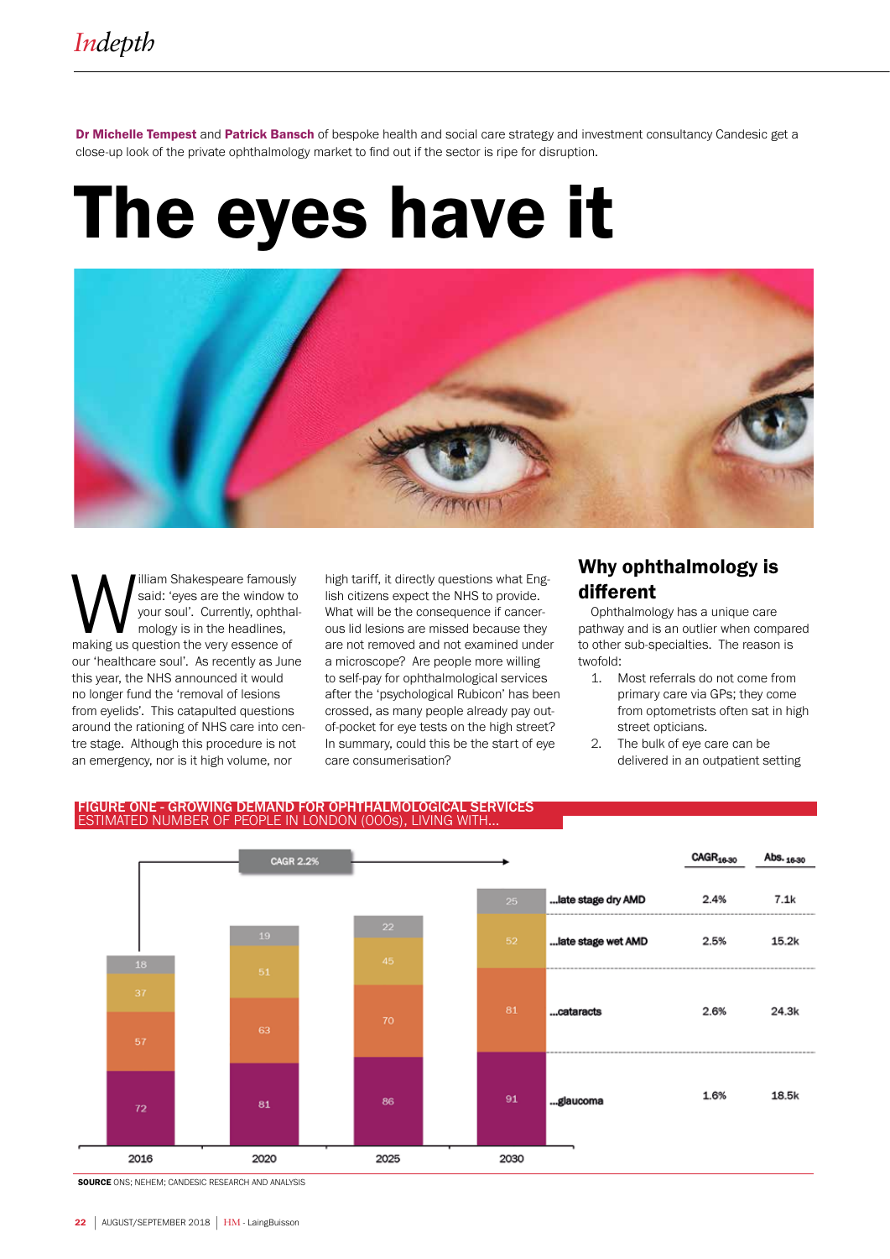Dr Michelle Tempest and Patrick Bansch of bespoke health and social care strategy and investment consultancy Candesic get a close-up look of the private ophthalmology market to find out if the sector is ripe for disruption.

# The eyes have it



**M** said: 'eyes are the window to your soul'. Currently, ophthal mology is in the headlines, making us question the very essence of said: 'eyes are the window to your soul'. Currently, ophthalmology is in the headlines, our 'healthcare soul'. As recently as June this year, the NHS announced it would no longer fund the 'removal of lesions from eyelids'. This catapulted questions around the rationing of NHS care into centre stage. Although this procedure is not an emergency, nor is it high volume, nor

high tariff, it directly questions what English citizens expect the NHS to provide. What will be the consequence if cancerous lid lesions are missed because they are not removed and not examined under a microscope? Are people more willing to self-pay for ophthalmological services after the 'psychological Rubicon' has been crossed, as many people already pay outof-pocket for eye tests on the high street? In summary, could this be the start of eye care consumerisation?

# Why ophthalmology is different

Ophthalmology has a unique care pathway and is an outlier when compared to other sub-specialties. The reason is twofold:

- 1. Most referrals do not come from primary care via GPs; they come from optometrists often sat in high street opticians.
- 2. The bulk of eye care can be delivered in an outpatient setting



#### FIGURE ONE - GROWING DEMAND FOR OPHTHALMOLOGICAL SERVICES ESTIMATED NUMBER OF PEOPLE IN LONDON (000s), LIVING WITH...

SOURCE ONS; NEHEM; CANDESIC RESEARCH AND ANALYSIS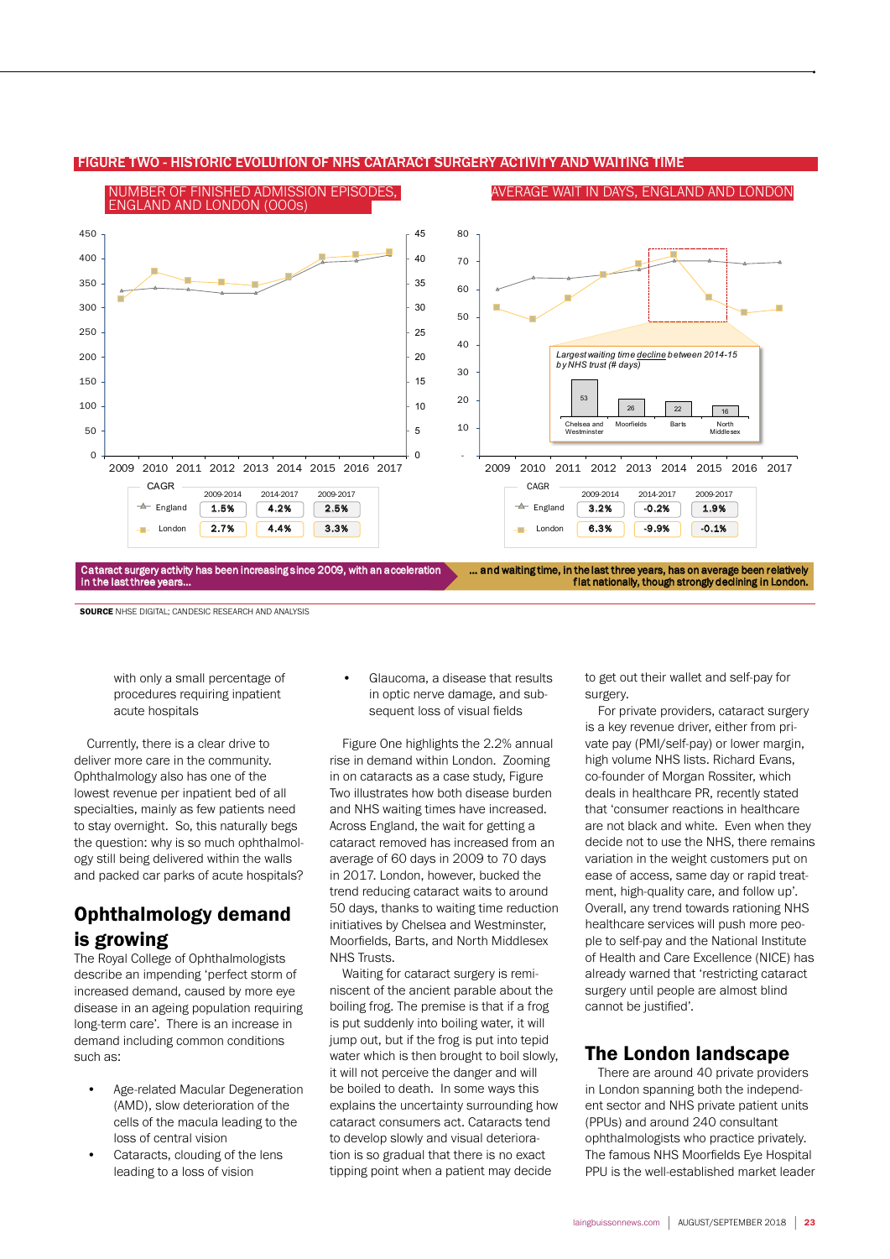

#### FIGURE TWO - HISTORIC EVOLUTION OF NHS CATARACT SURGERY ACTIVITY AND WAITING TIME

**SOURCE** NHSE DIGITAL; CANDESIC RESEARCH AND ANALYSIS

with only a small percentage of procedures requiring inpatient acute hospitals

Currently, there is a clear drive to deliver more care in the community. Ophthalmology also has one of the lowest revenue per inpatient bed of all specialties, mainly as few patients need to stay overnight. So, this naturally begs the question: why is so much ophthalmology still being delivered within the walls and packed car parks of acute hospitals?

# Ophthalmology demand is growing

The Royal College of Ophthalmologists describe an impending 'perfect storm of increased demand, caused by more eye disease in an ageing population requiring long-term care'. There is an increase in demand including common conditions such as:

- Age-related Macular Degeneration (AMD), slow deterioration of the cells of the macula leading to the loss of central vision
- Cataracts, clouding of the lens leading to a loss of vision

• Glaucoma, a disease that results in optic nerve damage, and subsequent loss of visual fields

Figure One highlights the 2.2% annual rise in demand within London. Zooming in on cataracts as a case study, Figure Two illustrates how both disease burden and NHS waiting times have increased. Across England, the wait for getting a cataract removed has increased from an average of 60 days in 2009 to 70 days in 2017. London, however, bucked the trend reducing cataract waits to around 50 days, thanks to waiting time reduction initiatives by Chelsea and Westminster, Moorfields, Barts, and North Middlesex NHS Trusts.

Waiting for cataract surgery is reminiscent of the ancient parable about the boiling frog. The premise is that if a frog is put suddenly into boiling water, it will jump out, but if the frog is put into tepid water which is then brought to boil slowly, it will not perceive the danger and will be boiled to death. In some ways this explains the uncertainty surrounding how cataract consumers act. Cataracts tend to develop slowly and visual deterioration is so gradual that there is no exact tipping point when a patient may decide

to get out their wallet and self-pay for surgery.

For private providers, cataract surgery is a key revenue driver, either from private pay (PMI/self-pay) or lower margin, high volume NHS lists. Richard Evans, co-founder of Morgan Rossiter, which deals in healthcare PR, recently stated that 'consumer reactions in healthcare are not black and white. Even when they decide not to use the NHS, there remains variation in the weight customers put on ease of access, same day or rapid treatment, high-quality care, and follow up'. Overall, any trend towards rationing NHS healthcare services will push more people to self-pay and the National Institute of Health and Care Excellence (NICE) has already warned that 'restricting cataract surgery until people are almost blind cannot be justified'.

## The London landscape

There are around 40 private providers in London spanning both the independent sector and NHS private patient units (PPUs) and around 240 consultant ophthalmologists who practice privately. The famous NHS Moorfields Eye Hospital PPU is the well-established market leader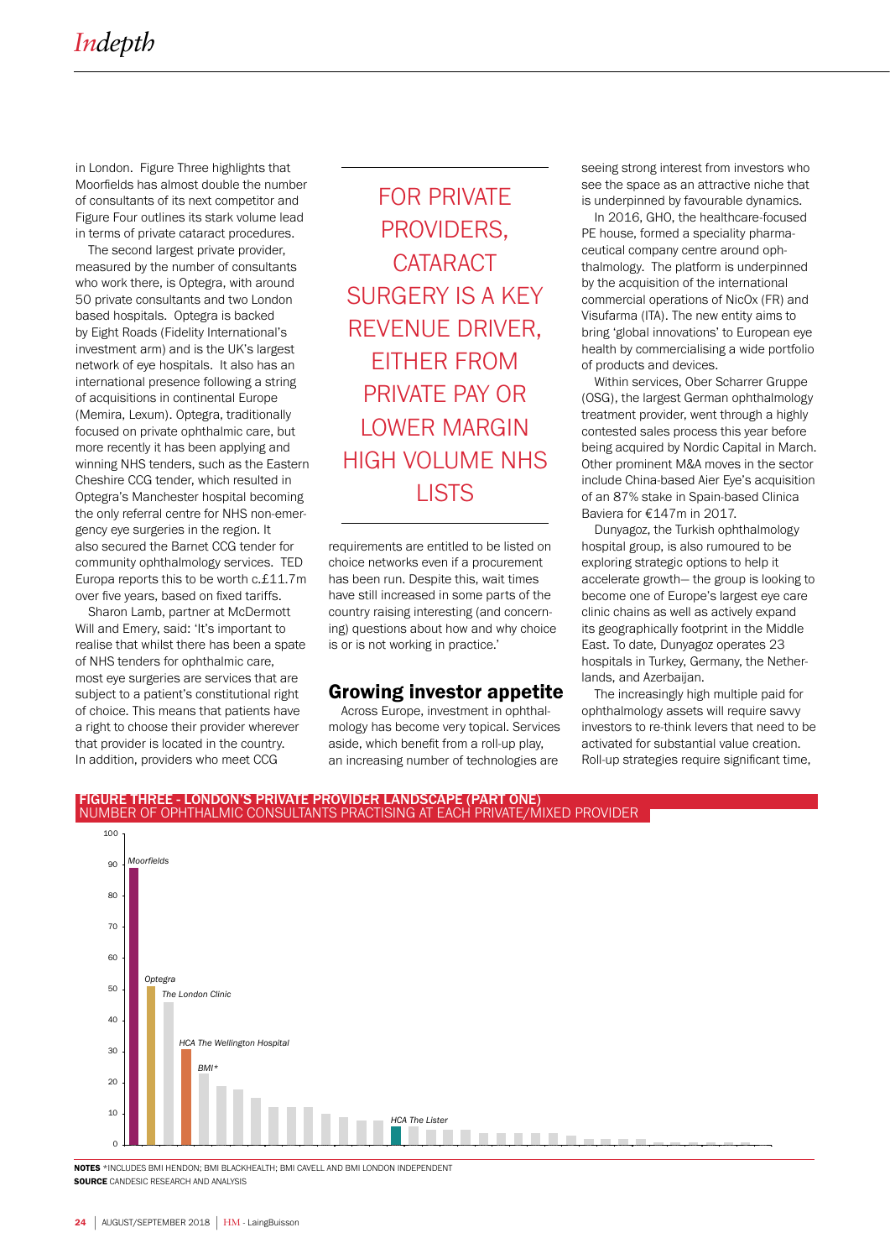in London. Figure Three highlights that Moorfields has almost double the number of consultants of its next competitor and Figure Four outlines its stark volume lead in terms of private cataract procedures.

The second largest private provider, measured by the number of consultants who work there, is Optegra, with around 50 private consultants and two London based hospitals. Optegra is backed by Eight Roads (Fidelity International's investment arm) and is the UK's largest network of eye hospitals. It also has an international presence following a string of acquisitions in continental Europe (Memira, Lexum). Optegra, traditionally focused on private ophthalmic care, but more recently it has been applying and winning NHS tenders, such as the Eastern Cheshire CCG tender, which resulted in Optegra's Manchester hospital becoming the only referral centre for NHS non-emergency eye surgeries in the region. It also secured the Barnet CCG tender for community ophthalmology services. TED Europa reports this to be worth c.£11.7m over five years, based on fixed tariffs.

Sharon Lamb, partner at McDermott Will and Emery, said: 'It's important to realise that whilst there has been a spate of NHS tenders for ophthalmic care, most eye surgeries are services that are subject to a patient's constitutional right of choice. This means that patients have a right to choose their provider wherever that provider is located in the country. In addition, providers who meet CCG

FOR PRIVATE PROVIDERS, **CATARACT** SURGERY IS A KEY REVENUE DRIVER, EITHER FROM PRIVATE PAY OR LOWER MARGIN HIGH VOLUME NHS LISTS

requirements are entitled to be listed on choice networks even if a procurement has been run. Despite this, wait times have still increased in some parts of the country raising interesting (and concerning) questions about how and why choice is or is not working in practice.'

### Growing investor appetite

Across Europe, investment in ophthalmology has become very topical. Services aside, which benefit from a roll-up play, an increasing number of technologies are

seeing strong interest from investors who see the space as an attractive niche that is underpinned by favourable dynamics.

In 2016, GHO, the healthcare-focused PE house, formed a speciality pharmaceutical company centre around ophthalmology. The platform is underpinned by the acquisition of the international commercial operations of NicOx (FR) and Visufarma (ITA). The new entity aims to bring 'global innovations' to European eye health by commercialising a wide portfolio of products and devices.

Within services, Ober Scharrer Gruppe (OSG), the largest German ophthalmology treatment provider, went through a highly contested sales process this year before being acquired by Nordic Capital in March. Other prominent M&A moves in the sector include China-based Aier Eye's acquisition of an 87% stake in Spain-based Clinica Baviera for €147m in 2017.

Dunyagoz, the Turkish ophthalmology hospital group, is also rumoured to be exploring strategic options to help it accelerate growth— the group is looking to become one of Europe's largest eye care clinic chains as well as actively expand its geographically footprint in the Middle East. To date, Dunyagoz operates 23 hospitals in Turkey, Germany, the Netherlands, and Azerbaijan.

The increasingly high multiple paid for ophthalmology assets will require savvy investors to re-think levers that need to be activated for substantial value creation. Roll-up strategies require significant time,



NOTES \*INCLUDES BMI HENDON; BMI BLACKHEALTH; BMI CAVELL AND BMI LONDON INDEPENDENT **SOURCE** CANDESIC RESEARCH AND ANALYSIS